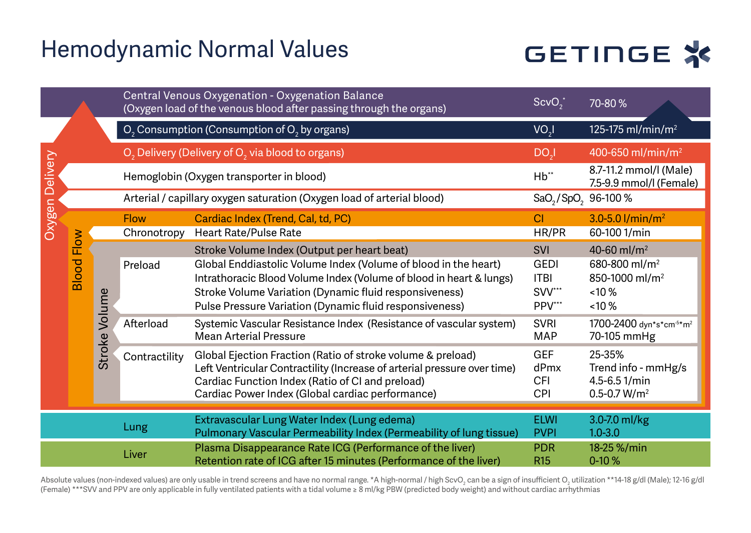### Hemodynamic Normal Values

# GETINGE \*

|          |               |                  |               | Central Venous Oxygenation - Oxygenation Balance<br>(Oxygen load of the venous blood after passing through the organs)                                                                                                                          | $ScvO^T$                                    | 70-80%                                                                             |
|----------|---------------|------------------|---------------|-------------------------------------------------------------------------------------------------------------------------------------------------------------------------------------------------------------------------------------------------|---------------------------------------------|------------------------------------------------------------------------------------|
|          |               |                  |               | O <sub>2</sub> Consumption (Consumption of O <sub>2</sub> by organs)                                                                                                                                                                            | VO <sub>3</sub>                             | 125-175 ml/min/m <sup>2</sup>                                                      |
|          |               |                  |               | O <sub>2</sub> Delivery (Delivery of O <sub>2</sub> via blood to organs)                                                                                                                                                                        | DO <sub>3</sub>                             | 400-650 ml/min/m <sup>2</sup>                                                      |
| Delivery |               |                  |               | Hemoglobin (Oxygen transporter in blood)                                                                                                                                                                                                        | Hb"                                         | 8.7-11.2 mmol/l (Male)<br>7.5-9.9 mmol/l (Female)                                  |
|          |               |                  |               | Arterial / capillary oxygen saturation (Oxygen load of arterial blood)                                                                                                                                                                          | SaO <sub>2</sub> /SpO <sub>2</sub> 96-100 % |                                                                                    |
|          |               |                  | <b>Flow</b>   | Cardiac Index (Trend, Cal, td, PC)                                                                                                                                                                                                              | <b>CI</b>                                   | $3.0 - 5.0$ l/min/m <sup>2</sup>                                                   |
| Oxygen   | Flow<br>Blood |                  | Chronotropy   | Heart Rate/Pulse Rate                                                                                                                                                                                                                           | HR/PR                                       | 60-100 1/min                                                                       |
|          |               | Volume<br>Stroke | Preload       | Stroke Volume Index (Output per heart beat)<br>Global Enddiastolic Volume Index (Volume of blood in the heart)<br>Intrathoracic Blood Volume Index (Volume of blood in heart & lungs)                                                           | <b>SVI</b><br><b>GEDI</b><br><b>ITBI</b>    | 40-60 ml/m <sup>2</sup><br>680-800 ml/m <sup>2</sup><br>850-1000 ml/m <sup>2</sup> |
|          |               |                  |               | Stroke Volume Variation (Dynamic fluid responsiveness)<br>Pulse Pressure Variation (Dynamic fluid responsiveness)                                                                                                                               | SVV***<br>PPV***                            | $< 10 \%$<br>$< 10 \%$                                                             |
|          |               |                  | Afterload     | Systemic Vascular Resistance Index (Resistance of vascular system)<br>Mean Arterial Pressure                                                                                                                                                    | <b>SVRI</b><br>MAP                          | 1700-2400 dvn*s*cm <sup>5*</sup> m <sup>2</sup><br>70-105 mmHg                     |
|          |               |                  | Contractility | Global Ejection Fraction (Ratio of stroke volume & preload)<br>Left Ventricular Contractility (Increase of arterial pressure over time)<br>Cardiac Function Index (Ratio of CI and preload)<br>Cardiac Power Index (Global cardiac performance) | GEF<br>dPmx<br>CFI<br>CPI                   | 25-35%<br>Trend info - mmHg/s<br>4.5-6.51/min<br>$0.5 - 0.7 W/m2$                  |
|          |               |                  |               |                                                                                                                                                                                                                                                 | <b>ELWI</b>                                 |                                                                                    |
|          |               |                  | Lung          | Extravascular Lung Water Index (Lung edema)<br>Pulmonary Vascular Permeability Index (Permeability of lung tissue)                                                                                                                              | <b>PVPI</b>                                 | 3.0-7.0 ml/kg<br>$1.0 - 3.0$                                                       |
|          |               |                  | Liver         | Plasma Disappearance Rate ICG (Performance of the liver)<br>Retention rate of ICG after 15 minutes (Performance of the liver)                                                                                                                   | <b>PDR</b><br><b>R15</b>                    | 18-25 %/min<br>$0-10%$                                                             |

Absolute values (non-indexed values) are only usable in trend screens and have no normal range. \*A high-normal / high ScvO $_2$  can be a sign of insufficient O $_2$  utilization \*\*14-18 g/dl (Male); 12-16 g/dl (Female) \*\*\*SVV and PPV are only applicable in fully ventilated patients with a tidal volume ≥ 8 ml/kg PBW (predicted body weight) and without cardiac arrhythmias